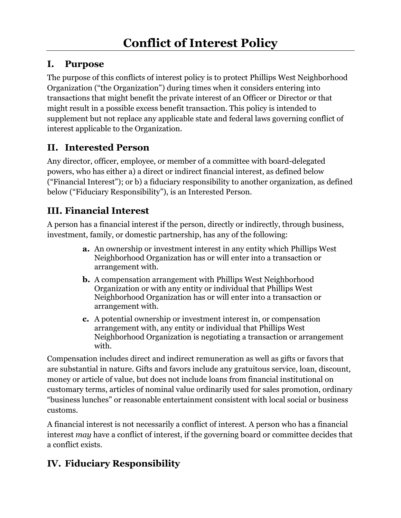#### **I. Purpose**

The purpose of this conflicts of interest policy is to protect Phillips West Neighborhood Organization ("the Organization") during times when it considers entering into transactions that might benefit the private interest of an Officer or Director or that might result in a possible excess benefit transaction. This policy is intended to supplement but not replace any applicable state and federal laws governing conflict of interest applicable to the Organization.

### **II. Interested Person**

Any director, officer, employee, or member of a committee with board-delegated powers, who has either a) a direct or indirect financial interest, as defined below ("Financial Interest"); or b) a fiduciary responsibility to another organization, as defined below ("Fiduciary Responsibility"), is an Interested Person.

### **III. Financial Interest**

A person has a financial interest if the person, directly or indirectly, through business, investment, family, or domestic partnership, has any of the following:

- **a.** An ownership or investment interest in any entity which Phillips West Neighborhood Organization has or will enter into a transaction or arrangement with.
- **b.** A compensation arrangement with Phillips West Neighborhood Organization or with any entity or individual that Phillips West Neighborhood Organization has or will enter into a transaction or arrangement with.
- **c.** A potential ownership or investment interest in, or compensation arrangement with, any entity or individual that Phillips West Neighborhood Organization is negotiating a transaction or arrangement with.

Compensation includes direct and indirect remuneration as well as gifts or favors that are substantial in nature. Gifts and favors include any gratuitous service, loan, discount, money or article of value, but does not include loans from financial institutional on customary terms, articles of nominal value ordinarily used for sales promotion, ordinary "business lunches" or reasonable entertainment consistent with local social or business customs.

A financial interest is not necessarily a conflict of interest. A person who has a financial interest *may* have a conflict of interest, if the governing board or committee decides that a conflict exists.

## **IV. Fiduciary Responsibility**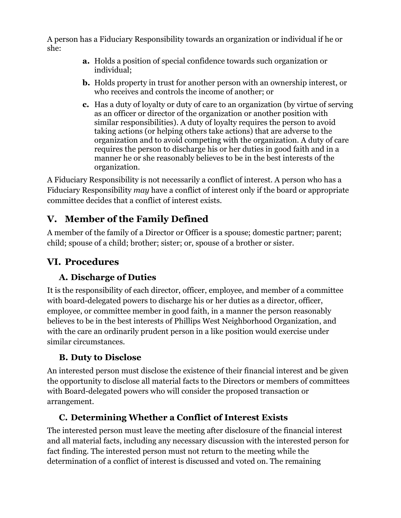A person has a Fiduciary Responsibility towards an organization or individual if he or she:

- **a.** Holds a position of special confidence towards such organization or individual;
- **b.** Holds property in trust for another person with an ownership interest, or who receives and controls the income of another; or
- **c.** Has a duty of loyalty or duty of care to an organization (by virtue of serving as an officer or director of the organization or another position with similar responsibilities). A duty of loyalty requires the person to avoid taking actions (or helping others take actions) that are adverse to the organization and to avoid competing with the organization. A duty of care requires the person to discharge his or her duties in good faith and in a manner he or she reasonably believes to be in the best interests of the organization.

A Fiduciary Responsibility is not necessarily a conflict of interest. A person who has a Fiduciary Responsibility *may* have a conflict of interest only if the board or appropriate committee decides that a conflict of interest exists.

### **V. Member of the Family Defined**

A member of the family of a Director or Officer is a spouse; domestic partner; parent; child; spouse of a child; brother; sister; or, spouse of a brother or sister.

## **VI. Procedures**

### **A. Discharge of Duties**

It is the responsibility of each director, officer, employee, and member of a committee with board-delegated powers to discharge his or her duties as a director, officer, employee, or committee member in good faith, in a manner the person reasonably believes to be in the best interests of Phillips West Neighborhood Organization, and with the care an ordinarily prudent person in a like position would exercise under similar circumstances.

#### **B. Duty to Disclose**

An interested person must disclose the existence of their financial interest and be given the opportunity to disclose all material facts to the Directors or members of committees with Board-delegated powers who will consider the proposed transaction or arrangement.

#### **C. Determining Whether a Conflict of Interest Exists**

The interested person must leave the meeting after disclosure of the financial interest and all material facts, including any necessary discussion with the interested person for fact finding. The interested person must not return to the meeting while the determination of a conflict of interest is discussed and voted on. The remaining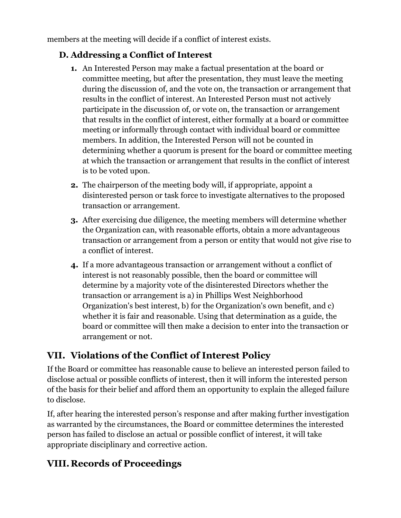members at the meeting will decide if a conflict of interest exists.

#### **D. Addressing a Conflict of Interest**

- **1.** An Interested Person may make a factual presentation at the board or committee meeting, but after the presentation, they must leave the meeting during the discussion of, and the vote on, the transaction or arrangement that results in the conflict of interest. An Interested Person must not actively participate in the discussion of, or vote on, the transaction or arrangement that results in the conflict of interest, either formally at a board or committee meeting or informally through contact with individual board or committee members. In addition, the Interested Person will not be counted in determining whether a quorum is present for the board or committee meeting at which the transaction or arrangement that results in the conflict of interest is to be voted upon.
- **2.** The chairperson of the meeting body will, if appropriate, appoint a disinterested person or task force to investigate alternatives to the proposed transaction or arrangement.
- **3.** After exercising due diligence, the meeting members will determine whether the Organization can, with reasonable efforts, obtain a more advantageous transaction or arrangement from a person or entity that would not give rise to a conflict of interest.
- **4.** If a more advantageous transaction or arrangement without a conflict of interest is not reasonably possible, then the board or committee will determine by a majority vote of the disinterested Directors whether the transaction or arrangement is a) in Phillips West Neighborhood Organization's best interest, b) for the Organization's own benefit, and c) whether it is fair and reasonable. Using that determination as a guide, the board or committee will then make a decision to enter into the transaction or arrangement or not.

# **VII. Violations of the Conflict of Interest Policy**

If the Board or committee has reasonable cause to believe an interested person failed to disclose actual or possible conflicts of interest, then it will inform the interested person of the basis for their belief and afford them an opportunity to explain the alleged failure to disclose.

If, after hearing the interested person's response and after making further investigation as warranted by the circumstances, the Board or committee determines the interested person has failed to disclose an actual or possible conflict of interest, it will take appropriate disciplinary and corrective action.

## **VIII.Records of Proceedings**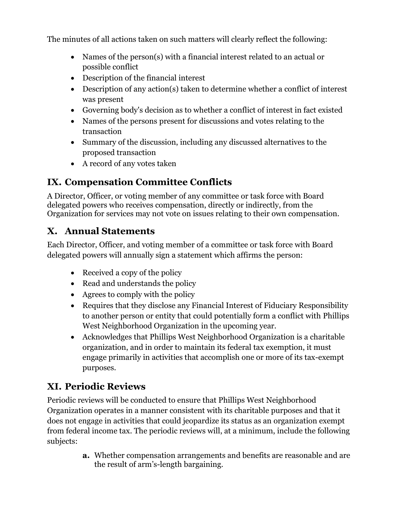The minutes of all actions taken on such matters will clearly reflect the following:

- Names of the person(s) with a financial interest related to an actual or possible conflict
- Description of the financial interest
- Description of any action(s) taken to determine whether a conflict of interest was present
- Governing body's decision as to whether a conflict of interest in fact existed
- Names of the persons present for discussions and votes relating to the transaction
- Summary of the discussion, including any discussed alternatives to the proposed transaction
- A record of any votes taken

## **IX. Compensation Committee Conflicts**

A Director, Officer, or voting member of any committee or task force with Board delegated powers who receives compensation, directly or indirectly, from the Organization for services may not vote on issues relating to their own compensation.

## **X. Annual Statements**

Each Director, Officer, and voting member of a committee or task force with Board delegated powers will annually sign a statement which affirms the person:

- Received a copy of the policy
- Read and understands the policy
- Agrees to comply with the policy
- Requires that they disclose any Financial Interest of Fiduciary Responsibility to another person or entity that could potentially form a conflict with Phillips West Neighborhood Organization in the upcoming year.
- Acknowledges that Phillips West Neighborhood Organization is a charitable organization, and in order to maintain its federal tax exemption, it must engage primarily in activities that accomplish one or more of its tax-exempt purposes.

### **XI. Periodic Reviews**

Periodic reviews will be conducted to ensure that Phillips West Neighborhood Organization operates in a manner consistent with its charitable purposes and that it does not engage in activities that could jeopardize its status as an organization exempt from federal income tax. The periodic reviews will, at a minimum, include the following subjects:

> **a.** Whether compensation arrangements and benefits are reasonable and are the result of arm's-length bargaining.